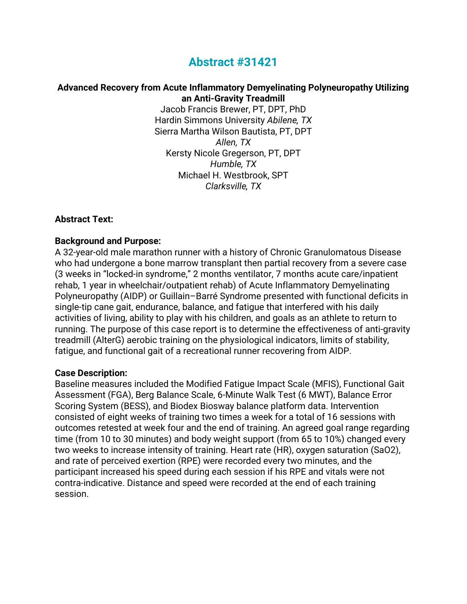# **Abstract #31421**

#### **Advanced Recovery from Acute Inflammatory Demyelinating Polyneuropathy Utilizing an Anti-Gravity Treadmill**

Jacob Francis Brewer, PT, DPT, PhD Hardin Simmons University *Abilene, TX* Sierra Martha Wilson Bautista, PT, DPT *Allen, TX* Kersty Nicole Gregerson, PT, DPT *Humble, TX* Michael H. Westbrook, SPT *Clarksville, TX*

#### **Abstract Text:**

## **Background and Purpose:**

A 32-year-old male marathon runner with a history of Chronic Granulomatous Disease who had undergone a bone marrow transplant then partial recovery from a severe case (3 weeks in "locked-in syndrome," 2 months ventilator, 7 months acute care/inpatient rehab, 1 year in wheelchair/outpatient rehab) of Acute Inflammatory Demyelinating Polyneuropathy (AIDP) or Guillain–Barré Syndrome presented with functional deficits in single-tip cane gait, endurance, balance, and fatigue that interfered with his daily activities of living, ability to play with his children, and goals as an athlete to return to running. The purpose of this case report is to determine the effectiveness of anti-gravity treadmill (AlterG) aerobic training on the physiological indicators, limits of stability, fatigue, and functional gait of a recreational runner recovering from AIDP.

#### **Case Description:**

Baseline measures included the Modified Fatigue Impact Scale (MFIS), Functional Gait Assessment (FGA), Berg Balance Scale, 6-Minute Walk Test (6 MWT), Balance Error Scoring System (BESS), and Biodex Biosway balance platform data. Intervention consisted of eight weeks of training two times a week for a total of 16 sessions with outcomes retested at week four and the end of training. An agreed goal range regarding time (from 10 to 30 minutes) and body weight support (from 65 to 10%) changed every two weeks to increase intensity of training. Heart rate (HR), oxygen saturation (SaO2), and rate of perceived exertion (RPE) were recorded every two minutes, and the participant increased his speed during each session if his RPE and vitals were not contra-indicative. Distance and speed were recorded at the end of each training session.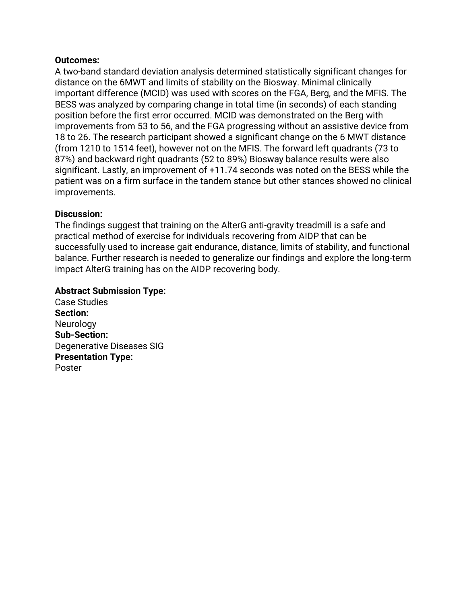# **Outcomes:**

A two-band standard deviation analysis determined statistically significant changes for distance on the 6MWT and limits of stability on the Biosway. Minimal clinically important difference (MCID) was used with scores on the FGA, Berg, and the MFIS. The BESS was analyzed by comparing change in total time (in seconds) of each standing position before the first error occurred. MCID was demonstrated on the Berg with improvements from 53 to 56, and the FGA progressing without an assistive device from 18 to 26. The research participant showed a significant change on the 6 MWT distance (from 1210 to 1514 feet), however not on the MFIS. The forward left quadrants (73 to 87%) and backward right quadrants (52 to 89%) Biosway balance results were also significant. Lastly, an improvement of +11.74 seconds was noted on the BESS while the patient was on a firm surface in the tandem stance but other stances showed no clinical improvements.

# **Discussion:**

The findings suggest that training on the AlterG anti-gravity treadmill is a safe and practical method of exercise for individuals recovering from AIDP that can be successfully used to increase gait endurance, distance, limits of stability, and functional balance. Further research is needed to generalize our findings and explore the long-term impact AlterG training has on the AIDP recovering body.

# **Abstract Submission Type:**

Case Studies **Section: Neurology Sub-Section:** Degenerative Diseases SIG **Presentation Type:** Poster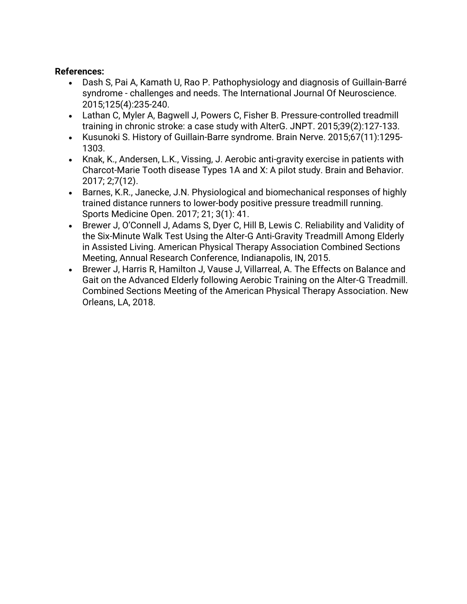# **References:**

- Dash S, Pai A, Kamath U, Rao P. Pathophysiology and diagnosis of Guillain-Barré syndrome - challenges and needs. The International Journal Of Neuroscience. 2015;125(4):235-240.
- Lathan C, Myler A, Bagwell J, Powers C, Fisher B. Pressure-controlled treadmill training in chronic stroke: a case study with AlterG. JNPT. 2015;39(2):127-133.
- Kusunoki S. History of Guillain-Barre syndrome. Brain Nerve. 2015;67(11):1295- 1303.
- Knak, K., Andersen, L.K., Vissing, J. Aerobic anti-gravity exercise in patients with Charcot-Marie Tooth disease Types 1A and X: A pilot study. Brain and Behavior. 2017; 2;7(12).
- Barnes, K.R., Janecke, J.N. Physiological and biomechanical responses of highly trained distance runners to lower-body positive pressure treadmill running. Sports Medicine Open. 2017; 21; 3(1): 41.
- Brewer J, O'Connell J, Adams S, Dyer C, Hill B, Lewis C. Reliability and Validity of the Six-Minute Walk Test Using the Alter-G Anti-Gravity Treadmill Among Elderly in Assisted Living. American Physical Therapy Association Combined Sections Meeting, Annual Research Conference, Indianapolis, IN, 2015.
- Brewer J, Harris R, Hamilton J, Vause J, Villarreal, A. The Effects on Balance and Gait on the Advanced Elderly following Aerobic Training on the Alter-G Treadmill. Combined Sections Meeting of the American Physical Therapy Association. New Orleans, LA, 2018.